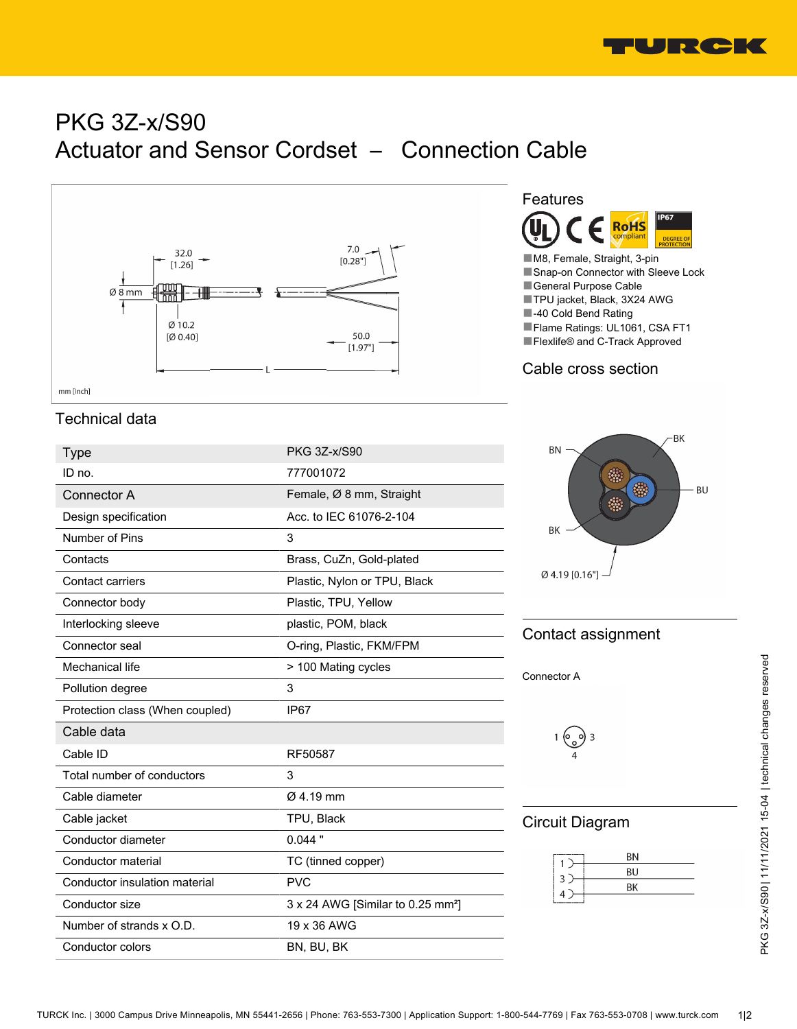

# PKG 3Z-x/S90 Actuator and Sensor Cordset – Connection Cable



## Technical data

| <b>Type</b>                     | <b>PKG 3Z-x/S90</b>                           |
|---------------------------------|-----------------------------------------------|
| ID no.                          | 777001072                                     |
| Connector A                     | Female, Ø 8 mm, Straight                      |
| Design specification            | Acc. to IEC 61076-2-104                       |
| Number of Pins                  | 3                                             |
| Contacts                        | Brass, CuZn, Gold-plated                      |
| Contact carriers                | Plastic, Nylon or TPU, Black                  |
| Connector body                  | Plastic, TPU, Yellow                          |
| Interlocking sleeve             | plastic, POM, black                           |
| Connector seal                  | O-ring, Plastic, FKM/FPM                      |
| Mechanical life                 | > 100 Mating cycles                           |
| Pollution degree                | 3                                             |
| Protection class (When coupled) | IP <sub>67</sub>                              |
| Cable data                      |                                               |
| Cable ID                        | RF50587                                       |
| Total number of conductors      | 3                                             |
| Cable diameter                  | $Ø$ 4.19 mm                                   |
| Cable jacket                    | TPU, Black                                    |
| Conductor diameter              | $0.044$ "                                     |
| Conductor material              | TC (tinned copper)                            |
| Conductor insulation material   | <b>PVC</b>                                    |
| Conductor size                  | 3 x 24 AWG [Similar to 0.25 mm <sup>2</sup> ] |
| Number of strands x O.D.        | 19 x 36 AWG                                   |
| Conductor colors                | BN, BU, BK                                    |



■M8, Female, Straight, 3-pin ■Snap-on Connector with Sleeve Lock ■General Purpose Cable ■TPU jacket, Black, 3X24 AWG ■-40 Cold Bend Rating ■Flame Ratings: UL1061, CSA FT1 ■Flexlife® and C-Track Approved

#### Cable cross section



#### Contact assignment

Connector A

$$
1\bigodot_{4} 3
$$

#### Circuit Diagram